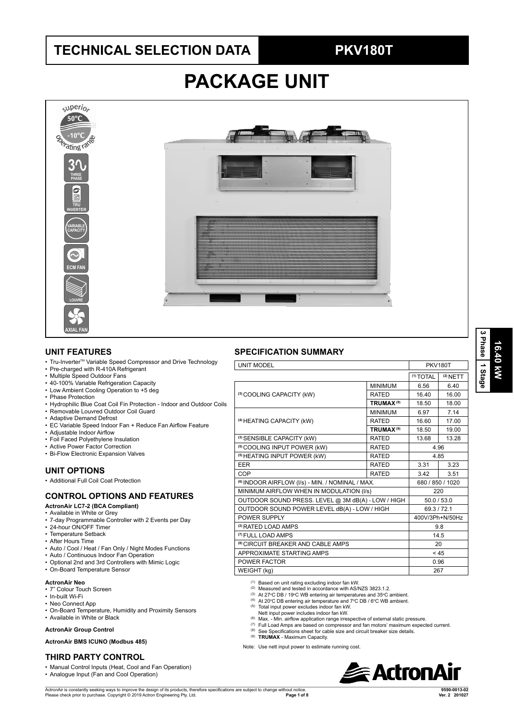## **TECHNICAL SELECTION DATA PKV180T**

# **PACKAGE UNIT**



### **UNIT FEATURES**

- Tru-Inverter™ Variable Speed Compressor and Drive Technology
- Pre-charged with R-410A Refrigerant
- Multiple Speed Outdoor Fans
- 40-100% Variable Refrigeration Capacity
- Low Ambient Cooling Operation to +5 deg
- Phase Protection
- Hydrophilic Blue Coat Coil Fin Protection Indoor and Outdoor Coils
- Removable Louvred Outdoor Coil Guard
- Adaptive Demand Defrost
- EC Variable Speed Indoor Fan + Reduce Fan Airflow Feature
- Adjustable Indoor Airflow
- Foil Faced Polyethylene Insulation
- Active Power Factor Correction
- Bi-Flow Electronic Expansion Valves

### **UNIT OPTIONS**

• Additional Full Coil Coat Protection

### **CONTROL OPTIONS AND FEATURES**

- **ActronAir LC7-2 (BCA Compliant)**
- Available in White or Grey
- 7-day Programmable Controller with 2 Events per Day
- 24-hour ON/OFF Timer • Temperature Setback
- After Hours Time
- Auto / Cool / Heat / Fan Only / Night Modes Functions
- Auto / Continuous Indoor Fan Operation
- Optional 2nd and 3rd Controllers with Mimic Logic
- On-Board Temperature Sensor

### **ActronAir Neo**

- 7" Colour Touch Screen
- In-built Wi-Fi
- Neo Connect App
- On-Board Temperature, Humidity and Proximity Sensors
- Available in White or Black

### **ActronAir Group Control**

### **ActronAir BMS ICUNO (Modbus 485)**

### **THIRD PARTY CONTROL**

- Manual Control Inputs (Heat, Cool and Fan Operation)
- Analogue Input (Fan and Cool Operation)

### **SPECIFICATION SUMMARY**

| <b>UNIT MODEL</b>                                           |                             | <b>PKV180T</b>       |                 |  |  |
|-------------------------------------------------------------|-----------------------------|----------------------|-----------------|--|--|
|                                                             |                             | <sup>(1)</sup> TOTAL | $(2)$ NETT      |  |  |
|                                                             | <b>MINIMUM</b>              | 6.56                 | 6.40            |  |  |
| (3) COOLING CAPACITY (kW)                                   | <b>RATED</b>                | 16.40                | 16.00           |  |  |
|                                                             | <b>TRUMAX<sup>(9)</sup></b> | 18.50                | 18.00           |  |  |
|                                                             | <b>MINIMUM</b>              | 6.97                 | 7.14            |  |  |
| <sup>(4)</sup> HEATING CAPACITY (kW)                        | <b>RATED</b>                | 16.60                | 17.00           |  |  |
|                                                             | <b>TRUMAX<sup>(9)</sup></b> | 18.50                | 19.00           |  |  |
| <sup>(3)</sup> SENSIBLE CAPACITY (kW)                       | <b>RATED</b>                | 13.68                | 13.28           |  |  |
| <sup>(5)</sup> COOLING INPUT POWER (kW)                     | <b>RATED</b>                |                      | 4.96            |  |  |
| <sup>(5)</sup> HEATING INPUT POWER (kW)                     | 4.85                        |                      |                 |  |  |
| EER                                                         | <b>RATED</b>                | 3.31                 | 3.23            |  |  |
| COP                                                         | <b>RATED</b>                | 3.42                 | 3.51            |  |  |
| <sup>(6)</sup> INDOOR AIRFLOW (I/s) - MIN. / NOMINAL / MAX. |                             | 680 / 850 / 1020     |                 |  |  |
| MINIMUM AIRFLOW WHEN IN MODULATION (I/s)                    |                             | 220                  |                 |  |  |
| OUTDOOR SOUND PRESS. LEVEL @ 3M dB(A) - LOW / HIGH          |                             | 50.0 / 53.0          |                 |  |  |
| OUTDOOR SOUND POWER LEVEL dB(A) - LOW / HIGH                |                             | 69.3/72.1            |                 |  |  |
| POWER SUPPLY                                                |                             |                      | 400V/3Ph+N/50Hz |  |  |
| <sup>(2)</sup> RATED LOAD AMPS                              |                             |                      | 9.8             |  |  |
| <sup>(7)</sup> FULL LOAD AMPS                               |                             | 14.5                 |                 |  |  |
| <sup>(8)</sup> CIRCUIT BREAKER AND CABLE AMPS               | 20                          |                      |                 |  |  |
| APPROXIMATE STARTING AMPS                                   | < 45                        |                      |                 |  |  |
| POWER FACTOR                                                | 0.96                        |                      |                 |  |  |
| WEIGHT (kg)                                                 | 267                         |                      |                 |  |  |

(1) Based on unit rating excluding indoor fan kW.

- (2) Measured and tested in accordance with AS/NZS 3823.1.2.
- <sup>(3)</sup> At 27°C DB / 19°C WB entering air temperatures and 35°C ambient.<br><sup>(4)</sup> At 20°C DB entering air temperature and 7°C DB / 6°C WB ambient.
	-
- (5) Total input power excludes indoor fan kW. Nett input power includes indoor fan kW.
- (6) Max. Min. airflow application range irrespective of external static pressure.
- (7) Full Load Amps are based on compressor and fan motors' maximum expected current.
- $(8)$  See Specifications sheet for cable size and circuit breaker size details.
- (9) **TRUMAX** Maximum Capacity.

Note: Use nett input power to estimate running cost.



**16.40 kW 3 Phase** Phase 1 Stage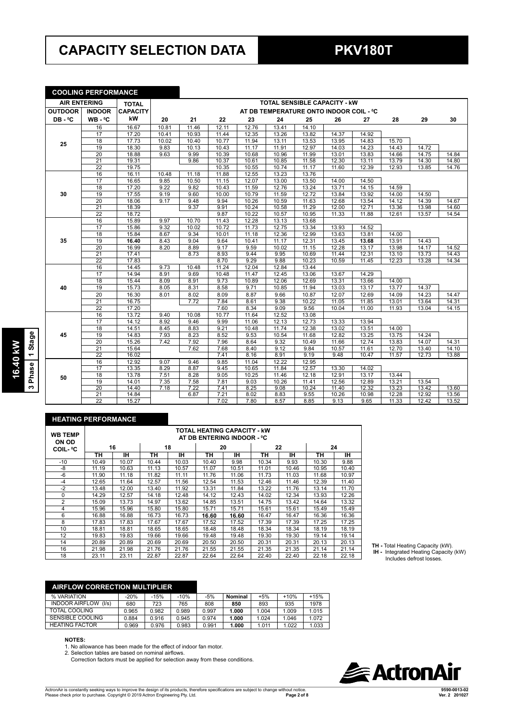## **CAPACITY SELECTION DATA PKV180T**

### **COOLING PERFORMANCE**

| <b>AIR ENTERING</b> |                 | <b>TOTAL</b>    |       | <b>TOTAL SENSIBLE CAPACITY - KW</b> |       |       |       |                                         |                    |                    |       |       |       |
|---------------------|-----------------|-----------------|-------|-------------------------------------|-------|-------|-------|-----------------------------------------|--------------------|--------------------|-------|-------|-------|
| <b>OUTDOOR</b>      | <b>INDOOR</b>   | <b>CAPACITY</b> |       |                                     |       |       |       | AT DB TEMPERATURE ONTO INDOOR COIL - °C |                    |                    |       |       |       |
| DB-°C               | $WB - C$        | kW              | 20    | 21                                  | 22    | 23    | 24    | 25                                      | 26                 | 27                 | 28    | 29    | 30    |
|                     | 16              | 16.67           | 10.81 | 11.46                               | 12.11 | 12.76 | 13.41 | 14.10                                   |                    |                    |       |       |       |
|                     | 17              | 17.20           | 10.41 | 10.93                               | 11.44 | 12.35 | 13.26 | 13.82                                   | 14.37              | 14.92              |       |       |       |
| 25                  | 18              | 17.73           | 10.02 | 10.40                               | 10.77 | 11.94 | 13.11 | 13.53                                   | 13.95              | 14.83              | 15.70 |       |       |
|                     | 19              | 18.30           | 9.83  | 10.13                               | 10.43 | 11.17 | 11.91 | 12.97                                   | 14.03              | 14.23              | 14.43 | 14.72 |       |
|                     | 20              | 18.88           | 9.63  | 9.99                                | 10.39 | 10.68 | 10.96 | 11.99                                   | 13.01              | 13.83              | 14.66 | 14.75 | 14.84 |
|                     | 21              | 19.31           |       | 9.86                                | 10.37 | 10.61 | 10.85 | 11.58                                   | 12.30              | 13.11              | 13.79 | 14.30 | 14.80 |
|                     | $\overline{22}$ | 19.75           |       |                                     | 10.35 | 10.55 | 10.74 | 11.17                                   | 11.60              | 12.39              | 12.93 | 13.85 | 14.76 |
|                     | 16              | 16.11           | 10.48 | 11.18                               | 11.88 | 12.55 | 13.23 | 13.76                                   |                    |                    |       |       |       |
|                     | 17              | 16.65           | 9.85  | 10.50                               | 11.15 | 12.07 | 13.00 | 13.50                                   | 14.00              | 14.50              |       |       |       |
|                     | $\overline{18}$ | 17.20           | 9.22  | 9.82                                | 10.43 | 11.59 | 12.76 | 13.24                                   | 13.71              | 14.15              | 14.59 |       |       |
| 30                  | 19              | 17.55           | 9.19  | 9.60                                | 10.00 | 10.79 | 11.59 | 12.72                                   | 13.84              | 13.92              | 14.00 | 14.50 |       |
|                     | 20              | 18.06           | 9.17  | 9.48                                | 9.94  | 10.26 | 10.59 | 11.63                                   | 12.68              | 13.54              | 14.12 | 14.39 | 14.67 |
|                     | 21              | 18.39           |       | 9.37                                | 9.91  | 10.24 | 10.58 | 11.29                                   | 12.00              | 12.71              | 13.36 | 13.98 | 14.60 |
|                     | $\overline{22}$ | 18.72           |       |                                     | 9.87  | 10.22 | 10.57 | 10.95                                   | 11.33              | 11.88              | 12.61 | 13.57 | 14.54 |
|                     | 16              | 15.89           | 9.97  | 10.70                               | 11.43 | 12.28 | 13.13 | 13.68                                   |                    |                    |       |       |       |
|                     | 17              | 15.86           | 9.32  | 10.02                               | 10.72 | 11.73 | 12.75 | 13.34                                   | 13.93              | $14.\overline{52}$ |       |       |       |
|                     | 18              | 15.84           | 8.67  | 9.34                                | 10.01 | 11.18 | 12.36 | 12.99                                   | 13.63              | 13.81              | 14.00 |       |       |
| 35                  | 19              | 16.40           | 8.43  | 9.04                                | 9.64  | 10.41 | 11.17 | 12.31                                   | 13.45              | 13.68              | 13.91 | 14.43 |       |
|                     | 20              | 16.99           | 8.20  | 8.89                                | 9.17  | 9.59  | 10.02 | 11.15                                   | 12.28              | 13.17              | 13.98 | 14.17 | 14.52 |
|                     | 21              | 17.41           |       | 8.73                                | 8.93  | 9.44  | 9.95  | 10.69                                   | 11.44              | 12.31              | 13.10 | 13.73 | 14.43 |
|                     | $\overline{22}$ | 17.83           |       |                                     | 8.70  | 9.29  | 9.88  | 10.23                                   | 10.59              | 11.45              | 12.23 | 13.28 | 14.34 |
|                     | 16              | 14.45           | 9.73  | 10.48                               | 11.24 | 12.04 | 12.84 | 13.44                                   |                    |                    |       |       |       |
|                     | 17              | 14.94           | 8.91  | 9.69                                | 10.48 | 11.47 | 12.45 | 13.06                                   | 13.67              | 14.29              |       |       |       |
|                     | 18              | 15.44           | 8.09  | 8.91                                | 9.73  | 10.89 | 12.06 | 12.69                                   | 13.31              | 13.66              | 14.00 |       |       |
| 40                  | 19              | 15.73           | 8.05  | 8.31                                | 8.58  | 9.71  | 10.85 | 11.94                                   | 13.03              | 13.17              | 13.77 | 14.37 |       |
|                     | 20              | 16.30           | 8.01  | 8.02                                | 8.09  | 8.87  | 9.66  | 10.87                                   | 12.07              | 12.69              | 14.09 | 14.23 | 14.47 |
|                     | $\overline{21}$ | 16.75           |       | 7.72                                | 7.84  | 8.61  | 9.38  | 10.22                                   | 11.05              | 11.85              | 13.01 | 13.64 | 14.31 |
|                     | 22              | 17.20           |       |                                     | 7.60  | 8.34  | 9.09  | 9.56                                    | 10.04              | 11.00              | 11.93 | 13.04 | 14.15 |
|                     | 16              | 13.72           | 9.40  | 10.08                               | 10.77 | 11.64 | 12.52 | 13.08                                   |                    |                    |       |       |       |
|                     | 17              | 14.12           | 8.92  | 9.46                                | 9.99  | 11.06 | 12.13 | 12.73                                   | 13.33              | 13.94              |       |       |       |
|                     | 18              | 14.51           | 8.45  | 8.83                                | 9.21  | 10.48 | 11.74 | 12.38                                   | 13.02              | 13.51              | 14.00 |       |       |
| 45                  | 19              | 14.83           | 7.93  | 8.23                                | 8.52  | 9.53  | 10.54 | 11.68                                   | 12.82              | 13.25              | 13.75 | 14.24 |       |
|                     | 20              | 15.26           | 7.42  | 7.92                                | 7.96  | 8.64  | 9.32  | 10.49                                   | 11.66              | 12.74              | 13.83 | 14.07 | 14.31 |
|                     | 21              | 15.64           |       | 7.62                                | 7.68  | 8.40  | 9.12  | 9.84                                    | 10.57              | 11.61              | 12.70 | 13.40 | 14.10 |
|                     | $\overline{22}$ | 16.02           |       |                                     | 7.41  | 8.16  | 8.91  | 9.19                                    | 9.48               | 10.47              | 11.57 | 12.73 | 13.88 |
|                     | 16              | 12.92           | 9.07  | 9.46                                | 9.85  | 11.04 | 12.22 | 12.95                                   |                    |                    |       |       |       |
|                     | 17              | 13.35           | 8.29  | 8.87                                | 9.45  | 10.65 | 11.84 | 12.57                                   | 13.30              | 14.02              |       |       |       |
| 50                  | 18              | 13.78           | 7.51  | 8.28                                | 9.05  | 10.25 | 11.46 | 12.18                                   | 12.91              | 13.17              | 13.44 |       |       |
|                     | 19              | 14.01           | 7.35  | 7.58                                | 7.81  | 9.03  | 10.26 | 11.41                                   | 12.56              | 12.89              | 13.21 | 13.54 |       |
|                     | $\overline{20}$ | 14.40           | 7.18  | 7.22                                | 7.41  | 8.25  | 9.08  | 10.24                                   | 11.40              | 12.32              | 13.23 | 13.42 | 13.60 |
|                     | 21              | 14.84           |       | 6.87                                | 7.21  | 8.02  | 8.83  | 9.55                                    | $\overline{10.26}$ | 10.98              | 12.28 | 12.92 | 13.56 |
|                     | $\overline{22}$ | 15.27           |       |                                     | 7.02  | 7.80  | 8.57  | 8.85                                    | 9.13               | 9.65               | 11.33 | 12.42 | 13.52 |

# 16.40 kW<br>3 Phase 1 Stage **3 Phase 1 Stage 16.40 kW**

| <b>HEATING PERFORMANCE</b> |       |       |       |       |       |       |       |           |       |       |
|----------------------------|-------|-------|-------|-------|-------|-------|-------|-----------|-------|-------|
| <b>WB TEMP</b><br>ON OD    |       |       |       |       |       |       |       |           |       |       |
| COIL- °C                   |       | 16    | 18    |       | 20    |       | 22    |           |       | 24    |
|                            | ΤН    | IН    | ΤН    | IΗ    | TН    | IН    | ΤН    | <b>IH</b> | ΤН    | IН    |
| $-10$                      | 10.49 | 10.07 | 10.44 | 10.03 | 10.40 | 9.98  | 10.34 | 9.93      | 10.30 | 9.88  |
| -8                         | 11.19 | 10.63 | 11.13 | 10.57 | 11.07 | 10.51 | 11.01 | 10.46     | 10.95 | 10.40 |
| -6                         | 11.90 | 11.18 | 11.82 | 11.11 | 11.76 | 11.06 | 11.73 | 11.03     | 11.68 | 10.97 |
| $-4$                       | 12.65 | 11.64 | 12.57 | 11.56 | 12.54 | 11.53 | 12.46 | 11.46     | 12.39 | 11.40 |
| $-2$                       | 13.48 | 12.00 | 13.40 | 11.92 | 13.31 | 11.84 | 13.22 | 11.76     | 13.14 | 11.70 |
| $\Omega$                   | 14.29 | 12.57 | 14.18 | 12.48 | 14.12 | 12.43 | 14.02 | 12.34     | 13.93 | 12.26 |
| 2                          | 15.09 | 13.73 | 14.97 | 13.62 | 14.85 | 13.51 | 14.75 | 13.42     | 14.64 | 13.32 |
| 4                          | 15.96 | 15.96 | 15.80 | 15.80 | 15.71 | 15.71 | 15.61 | 15.61     | 15.49 | 15.49 |
| 6                          | 16.88 | 16.88 | 16.73 | 16.73 | 16.60 | 16.60 | 16.47 | 16.47     | 16.36 | 16.36 |
| 8                          | 17.83 | 17.83 | 17.67 | 17.67 | 17.52 | 17.52 | 17.39 | 17.39     | 17.25 | 17.25 |
| 10                         | 18.81 | 18.81 | 18.65 | 18.65 | 18.48 | 18.48 | 18.34 | 18.34     | 18.19 | 18.19 |
| 12                         | 19.83 | 19.83 | 19.66 | 19.66 | 19.48 | 19.48 | 19.30 | 19.30     | 19.14 | 19.14 |
| 14                         | 20.89 | 20.89 | 20.69 | 20.69 | 20.50 | 20.50 | 20.31 | 20.31     | 20.13 | 20.13 |
| 16                         | 21.98 | 21.98 | 21.76 | 21.76 | 21.55 | 21.55 | 21.35 | 21.35     | 21.14 | 21.14 |
| 18                         | 23.11 | 23.11 | 22.87 | 22.87 | 22.64 | 22.64 | 22.40 | 22.40     | 22.18 | 22.18 |

**TH -** Total Heating Capacity (kW).

 **IH -** Integrated Heating Capacity (kW) Includes defrost losses.

| <b>AIRFLOW CORRECTION MULTIPLIER</b> |        |        |        |       |         |       |        |        |
|--------------------------------------|--------|--------|--------|-------|---------|-------|--------|--------|
| % VARIATION                          | $-20%$ | $-15%$ | $-10%$ | $-5%$ | Nominal | $+5%$ | $+10%$ | $+15%$ |
| <b>INDOOR AIRFLOW</b><br>(1/s)       | 680    | 723    | 765    | 808   | 850     | 893   | 935    | 1978   |
| TOTAL COOLING                        | 0.965  | 0.982  | 0.989  | 0.997 | 1.000   | 1.004 | 1.009  | 1.015  |
| SENSIBLE COOLING                     | 0.884  | 0.916  | 0.945  | 0.974 | 1.000   | 1.024 | 1.046  | 1.072  |
| <b>HEATING FACTOR</b>                | 0.969  | 0.976  | 0.983  | 0.991 | 1.000   | 1.011 | 1.022  | 1.033  |

### **NOTES:**

1. No allowance has been made for the effect of indoor fan motor.

2. Selection tables are based on nominal airflows.

Correction factors must be applied for selection away from these conditions.

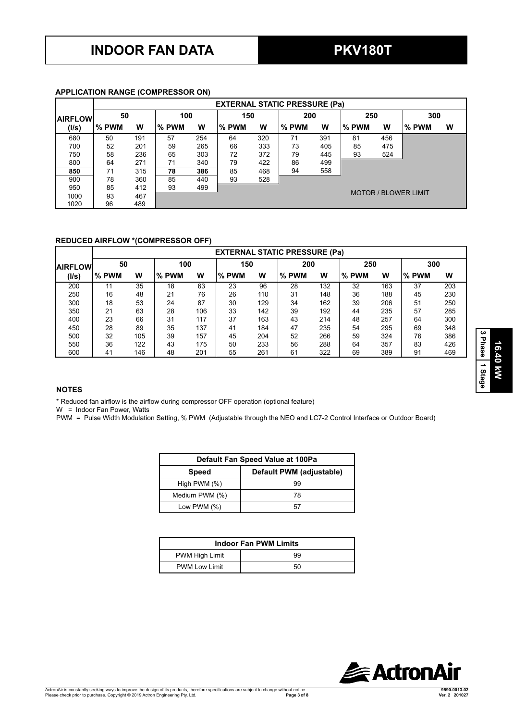### **APPLICATION RANGE (COMPRESSOR ON)**

|                |        | <b>EXTERNAL STATIC PRESSURE (Pa)</b> |       |     |       |     |       |     |       |     |                             |     |  |
|----------------|--------|--------------------------------------|-------|-----|-------|-----|-------|-----|-------|-----|-----------------------------|-----|--|
| <b>AIRFLOW</b> | 50     |                                      |       | 100 |       | 150 |       | 200 |       | 250 |                             | 300 |  |
| (I/s)          | l% PWM | w                                    | % PWM | w   | % PWM | w   | % PWM | w   | % PWM | w   | % PWM                       | W   |  |
| 680            | 50     | 191                                  | 57    | 254 | 64    | 320 | 71    | 391 | 81    | 456 |                             |     |  |
| 700            | 52     | 201                                  | 59    | 265 | 66    | 333 | 73    | 405 | 85    | 475 |                             |     |  |
| 750            | 58     | 236                                  | 65    | 303 | 72    | 372 | 79    | 445 | 93    | 524 |                             |     |  |
| 800            | 64     | 271                                  | 71    | 340 | 79    | 422 | 86    | 499 |       |     |                             |     |  |
| 850            | 71     | 315                                  | 78    | 386 | 85    | 468 | 94    | 558 |       |     |                             |     |  |
| 900            | 78     | 360                                  | 85    | 440 | 93    | 528 |       |     |       |     |                             |     |  |
| 950            | 85     | 412                                  | 93    | 499 |       |     |       |     |       |     |                             |     |  |
| 1000           | 93     | 467                                  |       |     |       |     |       |     |       |     | <b>MOTOR / BLOWER LIMIT</b> |     |  |
| 1020           | 96     | 489                                  |       |     |       |     |       |     |       |     |                             |     |  |

### **REDUCED AIRFLOW \*(COMPRESSOR OFF)**

|                 |        | <b>EXTERNAL STATIC PRESSURE (Pa)</b> |       |     |       |     |       |     |       |     |       |     |
|-----------------|--------|--------------------------------------|-------|-----|-------|-----|-------|-----|-------|-----|-------|-----|
| <b>IAIRFLOW</b> | 50     |                                      | 100   |     | 150   |     | 200   |     | 250   |     | 300   |     |
| (I/s)           | l% PWM | w                                    | % PWM | W   | % PWM | W   | % PWM | w   | % PWM | W   | % PWM | W   |
| 200             | 11     | 35                                   | 18    | 63  | 23    | 96  | 28    | 132 | 32    | 163 | 37    | 203 |
| 250             | 16     | 48                                   | 21    | 76  | 26    | 110 | 31    | 148 | 36    | 188 | 45    | 230 |
| 300             | 18     | 53                                   | 24    | 87  | 30    | 129 | 34    | 162 | 39    | 206 | 51    | 250 |
| 350             | 21     | 63                                   | 28    | 106 | 33    | 142 | 39    | 192 | 44    | 235 | 57    | 285 |
| 400             | 23     | 66                                   | 31    | 117 | 37    | 163 | 43    | 214 | 48    | 257 | 64    | 300 |
| 450             | 28     | 89                                   | 35    | 137 | 41    | 184 | 47    | 235 | 54    | 295 | 69    | 348 |
| 500             | 32     | 105                                  | 39    | 157 | 45    | 204 | 52    | 266 | 59    | 324 | 76    | 386 |
| 550             | 36     | 122                                  | 43    | 175 | 50    | 233 | 56    | 288 | 64    | 357 | 83    | 426 |
| 600             | 41     | 146                                  | 48    | 201 | 55    | 261 | 61    | 322 | 69    | 389 | 91    | 469 |

### **NOTES**

\* Reduced fan airflow is the airflow during compressor OFF operation (optional feature)

W = Indoor Fan Power, Watts

PWM = Pulse Width Modulation Setting, % PWM (Adjustable through the NEO and LC7-2 Control Interface or Outdoor Board)

| Default Fan Speed Value at 100Pa |                          |  |  |  |  |  |  |
|----------------------------------|--------------------------|--|--|--|--|--|--|
| <b>Speed</b>                     | Default PWM (adjustable) |  |  |  |  |  |  |
| High PWM $(\%)$                  | 99                       |  |  |  |  |  |  |
| Medium PWM (%)                   | 78                       |  |  |  |  |  |  |
| Low PWM $(\%)$                   | 57                       |  |  |  |  |  |  |

| <b>Indoor Fan PWM Limits</b> |    |  |  |  |  |  |  |
|------------------------------|----|--|--|--|--|--|--|
| <b>PWM High Limit</b>        | 99 |  |  |  |  |  |  |
| <b>PWM Low Limit</b>         | 50 |  |  |  |  |  |  |



**16.40 kW**

16.40 kW

**3 Phase 1 Stage**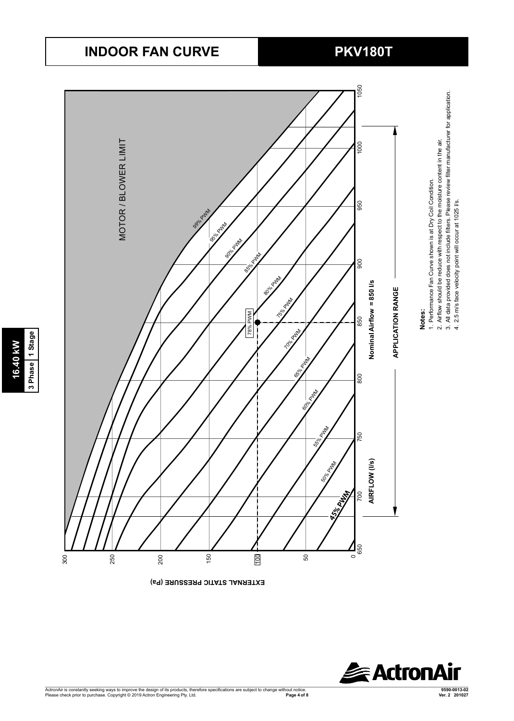## **INDOOR FAN CURVE PKV180T**

Series9

Series2 Series3 Series4 Series5 Series6 Series7

**16.40 kW 3 Phase 1 Stage**

3 Phase 1 Stage 16.40 kW



**EXTERNAL STATIC PRESSURE (Pa)** 

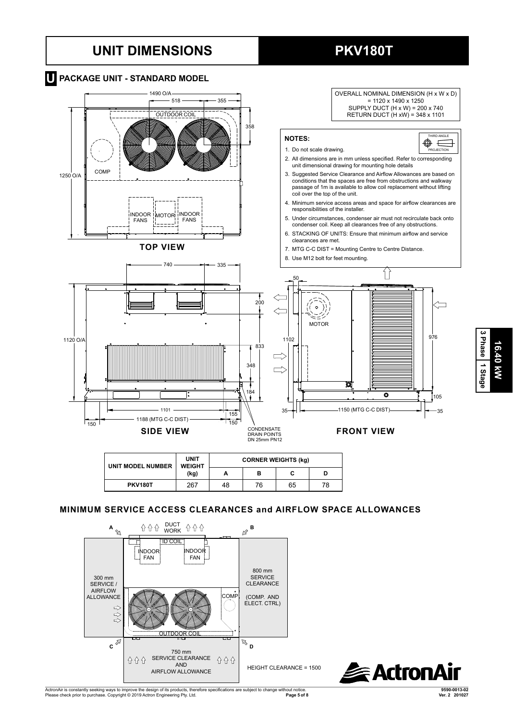## **UNIT DIMENSIONS PKV180T**



### **MINIMUM SERVICE ACCESS CLEARANCES and AIRFLOW SPACE ALLOWANCES**





**16.40 kW**

16.40 kW

**3 Phase** Phase 1 Stage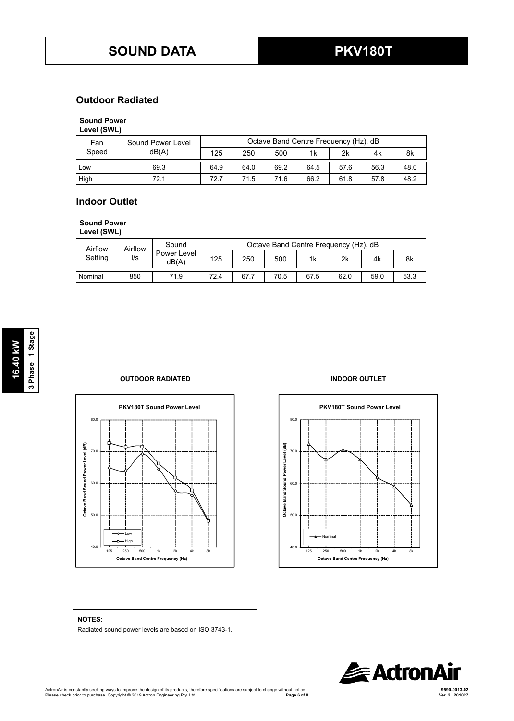### **Outdoor Radiated**

### **Sound Power**

| Fan   | Sound Power Level |      | Octave Band Centre Frequency (Hz), dB |      |      |      |      |      |  |  |  |
|-------|-------------------|------|---------------------------------------|------|------|------|------|------|--|--|--|
| Speed | dB(A)             | 125  | 250                                   | 500  | 1k   | 2k   | 4k   | 8k   |  |  |  |
| _ow   | 69.3              | 64.9 | 64.0                                  | 69.2 | 64.5 | 57.6 | 56.3 | 48.0 |  |  |  |
| High  | 72.1              | 72.7 | 71.5                                  | 71.6 | 66.2 | 61.8 | 57.8 | 48.2 |  |  |  |

### **Indoor Outlet** (SWL) **Level (SWL) Level (SWL) Level (SWL) Level (SWL) Level (SWL) Level (SWL) Level (SWL) Level (SWL) Level (SWL) Level (SWL) Level (SWL) Level (SWL) Level (SWL) Level (SWL) Lev**

## **Sound Power**

**Level (SWL)** Low 65.3 64.9 64.0 69.2 64.5 57.6 56.3 48.0 50.0 --- Low 65.3 64.9 64.0 69.2 64.5 57.6 56.3 48.0 50.0 ---

| Airflow | Airflow | Sound                |      |      |      | Octave Band Centre Frequency (Hz), dB |      |      |      |
|---------|---------|----------------------|------|------|------|---------------------------------------|------|------|------|
| Setting | l/s     | Power Level<br>dB(A) | 125  | 250  | 500  | 1k                                    | 2k   | 4k   | 8k   |
| Nominal | 850     | 71.9                 | 72.4 | 67.7 | 70.5 | 67.5                                  | 62.0 | 59.0 | 53.3 |

### **OUTDOOR RADIATED INDOOR OUTLET**





### **NOTES:**

Radiated sound power levels are based on ISO 3743-1.

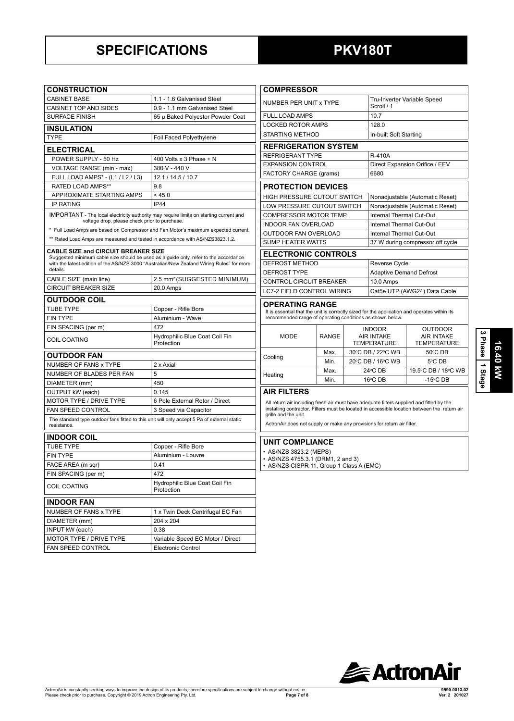## **SPECIFICATIONS PKV180T**

| <b>CONSTRUCTION</b>                                                                                   |                                              |  |  |  |  |  |  |
|-------------------------------------------------------------------------------------------------------|----------------------------------------------|--|--|--|--|--|--|
| <b>CABINET BASE</b>                                                                                   | 1.1 - 1.6 Galvanised Steel                   |  |  |  |  |  |  |
| <b>CABINET TOP AND SIDES</b>                                                                          | 0.9 - 1.1 mm Galvanised Steel                |  |  |  |  |  |  |
| <b>SURFACE FINISH</b>                                                                                 | 65 µ Baked Polyester Powder Coat             |  |  |  |  |  |  |
| <b>INSULATION</b>                                                                                     |                                              |  |  |  |  |  |  |
| <b>TYPE</b>                                                                                           | Foil Faced Polyethylene                      |  |  |  |  |  |  |
| <b>ELECTRICAL</b>                                                                                     |                                              |  |  |  |  |  |  |
| POWER SUPPLY - 50 Hz                                                                                  | 400 Volts x 3 Phase + N                      |  |  |  |  |  |  |
| VOLTAGE RANGE (min - max)                                                                             | 380 V - 440 V                                |  |  |  |  |  |  |
| FULL LOAD AMPS* - (L1 / L2 / L3)                                                                      | 12.1 / 14.5 / 10.7                           |  |  |  |  |  |  |
| <b>RATED LOAD AMPS**</b>                                                                              | 98                                           |  |  |  |  |  |  |
| APPROXIMATE STARTING AMPS                                                                             | < 45.0                                       |  |  |  |  |  |  |
| <b>IP RATING</b>                                                                                      | <b>IP44</b>                                  |  |  |  |  |  |  |
| IMPORTANT - The local electricity authority may require limits on starting current and                |                                              |  |  |  |  |  |  |
| voltage drop, please check prior to purchase.                                                         |                                              |  |  |  |  |  |  |
| * Full Load Amps are based on Compressor and Fan Motor's maximum expected current.                    |                                              |  |  |  |  |  |  |
| ** Rated Load Amps are measured and tested in accordance with AS/NZS3823.1.2.                         |                                              |  |  |  |  |  |  |
| <b>CABLE SIZE and CIRCUIT BREAKER SIZE</b>                                                            |                                              |  |  |  |  |  |  |
| Suggested minimum cable size should be used as a guide only, refer to the accordance                  |                                              |  |  |  |  |  |  |
| with the latest edition of the AS/NZS 3000 "Australian/New Zealand Wiring Rules" for more<br>details. |                                              |  |  |  |  |  |  |
| CABLE SIZE (main line)                                                                                | 2.5 mm <sup>2</sup> (SUGGESTED MINIMUM)      |  |  |  |  |  |  |
| <b>CIRCUIT BREAKER SIZE</b>                                                                           | 20.0 Amps                                    |  |  |  |  |  |  |
|                                                                                                       |                                              |  |  |  |  |  |  |
| <b>OUTDOOR COIL</b>                                                                                   |                                              |  |  |  |  |  |  |
| <b>TUBE TYPE</b>                                                                                      | Copper - Rifle Bore<br>Aluminium - Wave      |  |  |  |  |  |  |
| <b>FIN TYPE</b>                                                                                       | 472                                          |  |  |  |  |  |  |
| FIN SPACING (per m)                                                                                   |                                              |  |  |  |  |  |  |
| <b>COIL COATING</b>                                                                                   | Hydrophilic Blue Coat Coil Fin<br>Protection |  |  |  |  |  |  |
|                                                                                                       |                                              |  |  |  |  |  |  |
| <b>OUTDOOR FAN</b>                                                                                    |                                              |  |  |  |  |  |  |
| NUMBER OF FANS x TYPE                                                                                 | 2 x Axial<br>5                               |  |  |  |  |  |  |
| NUMBER OF BLADES PER FAN                                                                              |                                              |  |  |  |  |  |  |
| DIAMETER (mm)<br>OUTPUT kW (each)                                                                     | 450<br>0.145                                 |  |  |  |  |  |  |
| MOTOR TYPE / DRIVE TYPE                                                                               | 6 Pole External Rotor / Direct               |  |  |  |  |  |  |
| <b>FAN SPEED CONTROL</b>                                                                              | 3 Speed via Capacitor                        |  |  |  |  |  |  |
| The standard type outdoor fans fitted to this unit will only accept 5 Pa of external static           |                                              |  |  |  |  |  |  |
| resistance.                                                                                           |                                              |  |  |  |  |  |  |
| <b>INDOOR COIL</b>                                                                                    |                                              |  |  |  |  |  |  |
| <b>TUBE TYPE</b>                                                                                      | Copper - Rifle Bore                          |  |  |  |  |  |  |
| <b>FIN TYPE</b>                                                                                       | Aluminium - Louvre                           |  |  |  |  |  |  |
| FACE AREA (m sqr)                                                                                     | 0.41                                         |  |  |  |  |  |  |
| FIN SPACING (per m)                                                                                   | 472                                          |  |  |  |  |  |  |
|                                                                                                       | Hydrophilic Blue Coat Coil Fin               |  |  |  |  |  |  |
| <b>COIL COATING</b>                                                                                   | Protection                                   |  |  |  |  |  |  |
| <b>INDOOR FAN</b>                                                                                     |                                              |  |  |  |  |  |  |
| NUMBER OF FANS x TYPE                                                                                 | 1 x Twin Deck Centrifugal EC Fan             |  |  |  |  |  |  |
| DIAMETER (mm)                                                                                         | 204 x 204                                    |  |  |  |  |  |  |
| INPUT kW (each)                                                                                       | 0.38                                         |  |  |  |  |  |  |
| MOTOR TYPE / DRIVE TYPE                                                                               | Variable Speed EC Motor / Direct             |  |  |  |  |  |  |
| FAN SPEED CONTROL                                                                                     | <b>Electronic Control</b>                    |  |  |  |  |  |  |

| <b>COMPRESSOR</b>                                                                                                                                                                   |       |                                                          |                                           |                                                           |  |
|-------------------------------------------------------------------------------------------------------------------------------------------------------------------------------------|-------|----------------------------------------------------------|-------------------------------------------|-----------------------------------------------------------|--|
| NUMBER PER UNIT x TYPE                                                                                                                                                              |       |                                                          | Tru-Inverter Variable Speed<br>Scroll / 1 |                                                           |  |
| <b>FULL LOAD AMPS</b>                                                                                                                                                               |       |                                                          | 107                                       |                                                           |  |
| <b>LOCKED ROTOR AMPS</b>                                                                                                                                                            |       |                                                          | 128.0                                     |                                                           |  |
| STARTING METHOD                                                                                                                                                                     |       |                                                          | In-built Soft Starting                    |                                                           |  |
| <b>REFRIGERATION SYSTEM</b>                                                                                                                                                         |       |                                                          |                                           |                                                           |  |
| <b>REFRIGERANT TYPE</b>                                                                                                                                                             |       |                                                          | <b>R-410A</b>                             |                                                           |  |
| <b>EXPANSION CONTROL</b>                                                                                                                                                            |       |                                                          | Direct Expansion Orifice / EEV            |                                                           |  |
| FACTORY CHARGE (grams)                                                                                                                                                              |       |                                                          | 6680                                      |                                                           |  |
| <b>PROTECTION DEVICES</b>                                                                                                                                                           |       |                                                          |                                           |                                                           |  |
| HIGH PRESSURE CUTOUT SWITCH                                                                                                                                                         |       |                                                          | Nonadjustable (Automatic Reset)           |                                                           |  |
| LOW PRESSURE CUTOUT SWITCH                                                                                                                                                          |       |                                                          | Nonadjustable (Automatic Reset)           |                                                           |  |
| <b>COMPRESSOR MOTOR TEMP.</b>                                                                                                                                                       |       |                                                          | Internal Thermal Cut-Out                  |                                                           |  |
| <b>INDOOR FAN OVERLOAD</b>                                                                                                                                                          |       |                                                          | Internal Thermal Cut-Out                  |                                                           |  |
| OUTDOOR FAN OVERLOAD                                                                                                                                                                |       |                                                          | <b>Internal Thermal Cut-Out</b>           |                                                           |  |
| <b>SUMP HEATER WATTS</b>                                                                                                                                                            |       |                                                          | 37 W during compressor off cycle          |                                                           |  |
| <b>ELECTRONIC CONTROLS</b>                                                                                                                                                          |       |                                                          |                                           |                                                           |  |
| DEFROST METHOD                                                                                                                                                                      |       |                                                          | Reverse Cycle                             |                                                           |  |
| <b>DEFROST TYPE</b>                                                                                                                                                                 |       |                                                          | <b>Adaptive Demand Defrost</b>            |                                                           |  |
| <b>CONTROL CIRCUIT BREAKER</b>                                                                                                                                                      |       |                                                          | 10.0 Amps                                 |                                                           |  |
| <b>LC7-2 FIELD CONTROL WIRING</b>                                                                                                                                                   |       |                                                          | Cat5e UTP (AWG24) Data Cable              |                                                           |  |
| <b>OPERATING RANGE</b><br>It is essential that the unit is correctly sized for the application and operates within its<br>recommended range of operating conditions as shown below. |       |                                                          |                                           |                                                           |  |
| MODE                                                                                                                                                                                | RANGE | <b>INDOOR</b><br><b>AIR INTAKE</b><br><b>TEMPERATURE</b> |                                           | <b>OUTDOOR</b><br><b>AIR INTAKE</b><br><b>TEMPERATURE</b> |  |
| Cooling                                                                                                                                                                             | Max.  | 30°C DB / 22°C WB                                        |                                           | 50°C DB                                                   |  |
|                                                                                                                                                                                     | Min   | 20°C DB / 16°C WB                                        |                                           | $5^{\circ}$ C DB                                          |  |
| Heating                                                                                                                                                                             | Max.  | $24^{\circ}$ CDB                                         |                                           | 19.5°C DB / 18°C WB                                       |  |
|                                                                                                                                                                                     |       | 16°C DB                                                  |                                           | $-15^{\circ}$ CDB                                         |  |

All return air including fresh air must have adequate filters supplied and fitted by the installing contractor. Filters must be located in accessible location between the return air grille and the unit.

ActronAir does not supply or make any provisions for return air filter.

### **UNIT COMPLIANCE**

- AS/NZS 3823.2 (MEPS)
- AS/NZS 4755.3.1 (DRM1, 2 and 3)
- AS/NZS CISPR 11, Group 1 Class A (EMC)

**3 Phase**

*<u>ActronAir</u>*